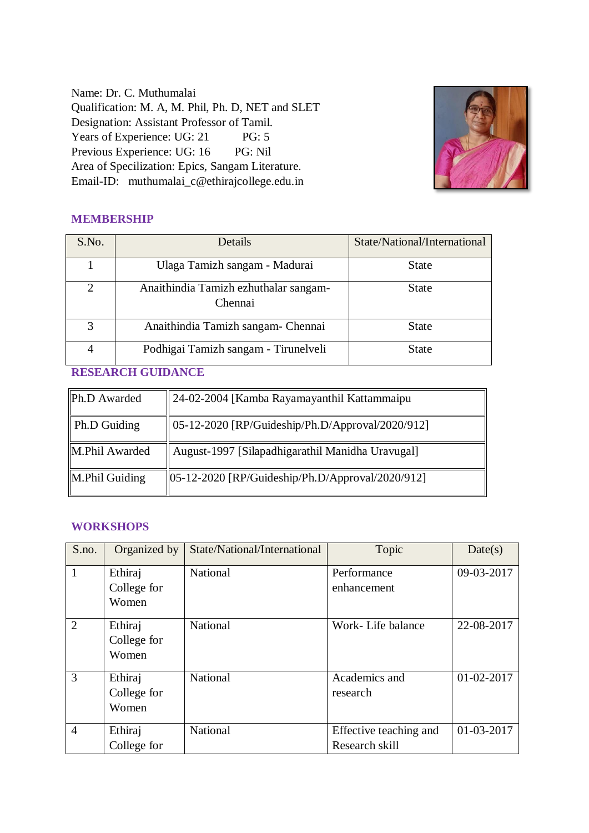Name: Dr. C. Muthumalai Qualification: M. A, M. Phil, Ph. D, NET and SLET Designation: Assistant Professor of Tamil. Years of Experience: UG: 21 PG: 5 Previous Experience: UG: 16 PG: Nil Area of Specilization: Epics, Sangam Literature. Email-ID: muthumalai\_c@ethirajcollege.edu.in



## **MEMBERSHIP**

| S.No.         | <b>Details</b>                                   | State/National/International |
|---------------|--------------------------------------------------|------------------------------|
|               | Ulaga Tamizh sangam - Madurai                    | <b>State</b>                 |
| $\mathcal{D}$ | Anaithindia Tamizh ezhuthalar sangam-<br>Chennai | <b>State</b>                 |
|               | Anaithindia Tamizh sangam- Chennai               | <b>State</b>                 |
|               | Podhigai Tamizh sangam - Tirunelveli             | <b>State</b>                 |

### **RESEARCH GUIDANCE**

| Ph.D Awarded        | 24-02-2004 [Kamba Rayamayanthil Kattammaipu]                          |
|---------------------|-----------------------------------------------------------------------|
| <b>Ph.D Guiding</b> | 05-12-2020 [RP/Guideship/Ph.D/Approval/2020/912]                      |
| M.Phil Awarded      | August-1997 [Silapadhigarathil Manidha Uravugal]                      |
| M.Phil Guiding      | $\left  05 - 12 - 2020 \right $ [RP/Guideship/Ph.D/Approval/2020/912] |

### **WORKSHOPS**

| S.no.          | Organized by                    | State/National/International | Topic                                    | Date(s)    |
|----------------|---------------------------------|------------------------------|------------------------------------------|------------|
| $\mathbf{1}$   | Ethiraj<br>College for<br>Women | <b>National</b>              | Performance<br>enhancement               | 09-03-2017 |
| $\overline{2}$ | Ethiraj<br>College for<br>Women | National                     | Work-Life balance                        | 22-08-2017 |
| 3              | Ethiraj<br>College for<br>Women | National                     | Academics and<br>research                | 01-02-2017 |
| $\overline{4}$ | Ethiraj<br>College for          | National                     | Effective teaching and<br>Research skill | 01-03-2017 |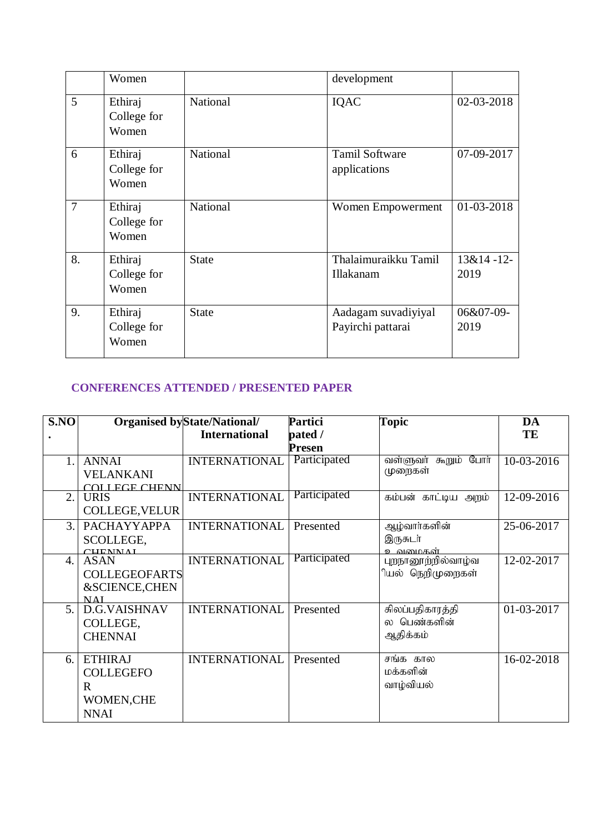|                | Women                           |              | development                              |                     |
|----------------|---------------------------------|--------------|------------------------------------------|---------------------|
| $\overline{5}$ | Ethiraj<br>College for<br>Women | National     | IQAC                                     | 02-03-2018          |
| 6              | Ethiraj<br>College for<br>Women | National     | <b>Tamil Software</b><br>applications    | 07-09-2017          |
| $\overline{7}$ | Ethiraj<br>College for<br>Women | National     | Women Empowerment                        | 01-03-2018          |
| 8.             | Ethiraj<br>College for<br>Women | <b>State</b> | Thalaimuraikku Tamil<br>Illakanam        | $13&14-12-$<br>2019 |
| 9.             | Ethiraj<br>College for<br>Women | <b>State</b> | Aadagam suvadiyiyal<br>Payirchi pattarai | 06&07-09-<br>2019   |

# **CONFERENCES ATTENDED / PRESENTED PAPER**

| S.NO           |                          | <b>Organised byState/National/</b> | Partici       | <b>Topic</b>         | DA         |
|----------------|--------------------------|------------------------------------|---------------|----------------------|------------|
|                |                          | <b>International</b>               | pated /       |                      | TE         |
|                |                          |                                    | <b>Presen</b> |                      |            |
|                | <b>ANNAI</b>             | <b>INTERNATIONAL</b>               | Participated  | வள்ளுவா் கூறும் போா் | 10-03-2016 |
|                | <b>VELANKANI</b>         |                                    |               | முறைகள்              |            |
|                | COLLEGE CHENN            |                                    |               |                      |            |
| 2.             | <b>URIS</b>              | <b>INTERNATIONAL</b>               | Participated  | கம்பன் காட்டிய அறம்  | 12-09-2016 |
|                | <b>COLLEGE, VELUR</b>    |                                    |               |                      |            |
| 3.             | PACHAYYAPPA              | <b>INTERNATIONAL</b>               | Presented     | ஆழ்வார்களின்         | 25-06-2017 |
|                | SCOLLEGE,                |                                    |               | இருசுடர்             |            |
|                | <b>CUENNAI</b>           |                                    | Participated  | உவமைகள்              |            |
| $\mathbf{4}$   | <b>ASAN</b>              | <b>INTERNATIONAL</b>               |               | புறநானூற்றில்வாழ்வ   | 12-02-2017 |
|                | <b>COLLEGEOFARTS</b>     |                                    |               | ியல் நெறிமுறைகள்     |            |
|                | <b>&amp;SCIENCE,CHEN</b> |                                    |               |                      |            |
| 5 <sub>1</sub> | NAI<br>D.G.VAISHNAV      | <b>INTERNATIONAL</b>               | Presented     | சிலப்பதிகாரத்தி      | 01-03-2017 |
|                |                          |                                    |               | ல பெண்களின்          |            |
|                | COLLEGE,                 |                                    |               |                      |            |
|                | <b>CHENNAI</b>           |                                    |               | ஆதிக்கம்             |            |
| 6.             | <b>ETHIRAJ</b>           | <b>INTERNATIONAL</b>               | Presented     | சங்க கால             | 16-02-2018 |
|                | <b>COLLEGEFO</b>         |                                    |               | மக்களின்             |            |
|                | R.                       |                                    |               | வாழ்வியல்            |            |
|                | WOMEN, CHE               |                                    |               |                      |            |
|                |                          |                                    |               |                      |            |
|                | <b>NNAI</b>              |                                    |               |                      |            |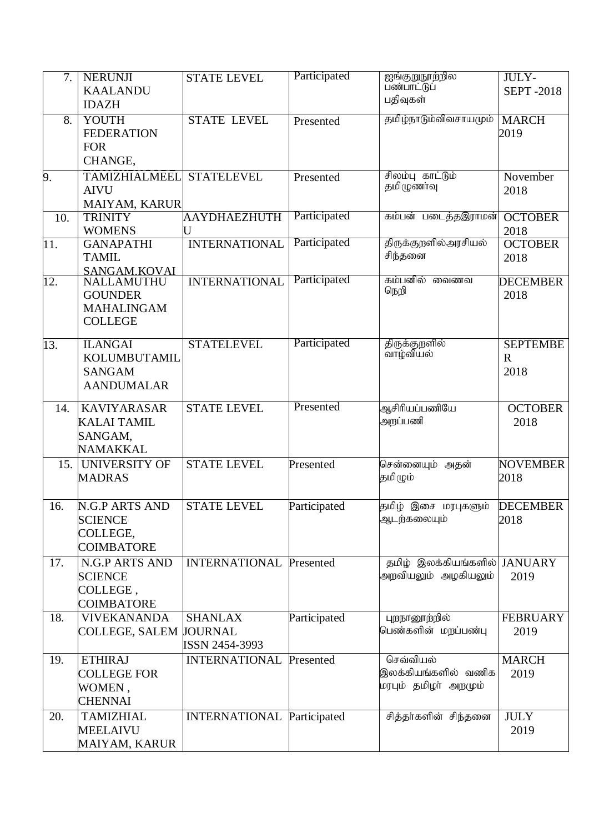| 7.  | <b>NERUNJI</b><br><b>KAALANDU</b><br><b>IDAZH</b>                        | <b>STATE LEVEL</b>                | Participated | ஐங்குறுநூற்றில<br>பண்பாட்டுப்<br>பதிவுகள்               | JULY-<br><b>SEPT-2018</b>              |
|-----|--------------------------------------------------------------------------|-----------------------------------|--------------|---------------------------------------------------------|----------------------------------------|
| 8.  | YOUTH<br><b>FEDERATION</b><br><b>FOR</b><br>CHANGE,                      | <b>STATE LEVEL</b>                | Presented    | தமிழ்நாடும்விவசாயமும்                                   | <b>MARCH</b><br>2019                   |
| 9.  | <b>TAMIZHIALMEEL</b><br><b>AIVU</b><br>MAIYAM, KARUR                     | <b>STATELEVEL</b>                 | Presented    | சிலம்பு காட்டும்<br>தமிழுணாவு                           | November<br>2018                       |
| 10. | <b>TRINITY</b><br><b>WOMENS</b>                                          | AAYDHAEZHUTH<br>U                 | Participated | கம்பன் படைத்தஇராமன்                                     | <b>OCTOBER</b><br>2018                 |
| 11. | <b>GANAPATHI</b><br><b>TAMIL</b><br>SANGAM.KOVAL                         | <b>INTERNATIONAL</b>              | Participated | திருக்குறளில்அரசியல்<br>சிந்தனை                         | <b>OCTOBER</b><br>2018                 |
| 12. | NALLAMUTHU<br><b>GOUNDER</b><br><b>MAHALINGAM</b><br><b>COLLEGE</b>      | <b>INTERNATIONAL</b>              | Participated | கம்பனில்<br>മൈഞ്ഞ<br>நெறி                               | <b>DECEMBER</b><br>2018                |
| 13. | <b>ILANGAI</b><br>KOLUMBUTAMIL<br><b>SANGAM</b><br><b>AANDUMALAR</b>     | <b>STATELEVEL</b>                 | Participated | திருக்குறளில்<br>வாழ்வியல்                              | <b>SEPTEMBE</b><br>$\mathbf R$<br>2018 |
| 14. | <b>KAVIYARASAR</b><br><b>KALAI TAMIL</b><br>SANGAM,<br><b>NAMAKKAL</b>   | <b>STATE LEVEL</b>                | Presented    | ஆசிரியப்பணியே<br>அறப்பணி                                | <b>OCTOBER</b><br>2018                 |
| 15. | UNIVERSITY OF<br><b>MADRAS</b>                                           | <b>STATE LEVEL</b>                | Presented    | சென்னையும் அதன்<br>தமிழும்                              | <b>NOVEMBER</b><br>2018                |
| 16. | <b>N.G.P ARTS AND</b><br><b>SCIENCE</b><br>COLLEGE,<br><b>COIMBATORE</b> | <b>STATE LEVEL</b>                | Participated | தமிழ் இசை மரபுகளும்<br>ஆடந்கலையும்                      | <b>DECEMBER</b><br>2018                |
| 17. | N.G.P ARTS AND<br><b>SCIENCE</b><br>COLLEGE,<br><b>COIMBATORE</b>        | <b>INTERNATIONAL Presented</b>    |              | தமிழ் இலக்கியங்களில் JANUARY<br>அறவியலும் அழகியலும்     | 2019                                   |
| 18. | <b>VIVEKANANDA</b><br>COLLEGE, SALEM JOURNAL                             | <b>SHANLAX</b><br>ISSN 2454-3993  | Participated | புறநானூற்றில்<br>பெண்களின் மறப்பண்பு                    | <b>FEBRUARY</b><br>2019                |
| 19. | <b>ETHIRAJ</b><br><b>COLLEGE FOR</b><br>WOMEN,<br><b>CHENNAI</b>         | <b>INTERNATIONAL</b>              | Presented    | செவ்வியல்<br>இலக்கியங்களில் வணிக<br>மரபும் தமிழா அறமும் | <b>MARCH</b><br>2019                   |
| 20. | <b>TAMIZHIAL</b><br><b>MEELAIVU</b><br>MAIYAM, KARUR                     | <b>INTERNATIONAL Participated</b> |              | சித்தா்களின் சிந்தனை                                    | <b>JULY</b><br>2019                    |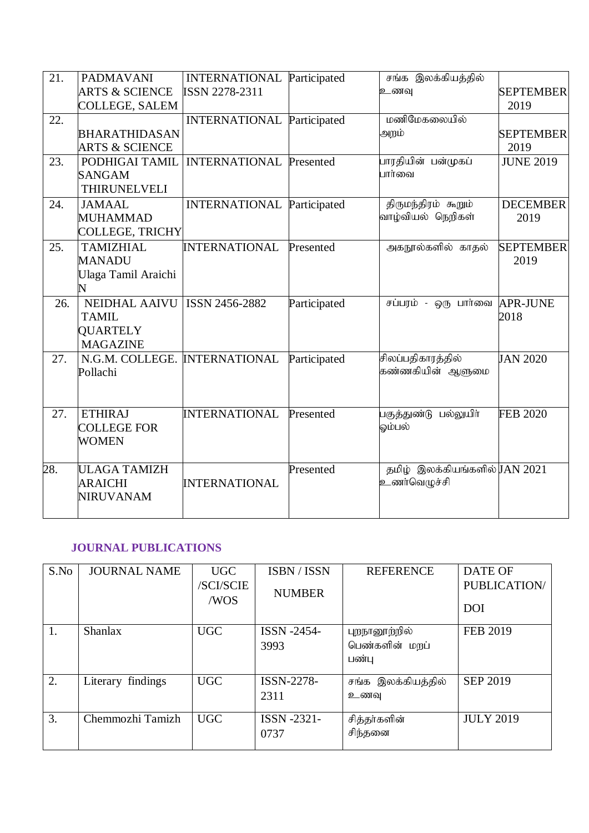| 21. | <b>PADMAVANI</b>                   | <b>INTERNATIONAL</b>              | Participated | சங்க இலக்கியத்தில்                            |                  |
|-----|------------------------------------|-----------------------------------|--------------|-----------------------------------------------|------------------|
|     | <b>ARTS &amp; SCIENCE</b>          | ISSN 2278-2311                    |              | உணவு                                          | <b>SEPTEMBER</b> |
|     | <b>COLLEGE, SALEM</b>              |                                   |              |                                               | 2019             |
| 22. |                                    | <b>INTERNATIONAL</b>              | Participated | மணிமேகலையில்                                  |                  |
|     | <b>BHARATHIDASAN</b>               |                                   |              | அறம்                                          | <b>SEPTEMBER</b> |
|     | <b>ARTS &amp; SCIENCE</b>          |                                   |              |                                               | 2019             |
| 23. | PODHIGAI TAMIL                     | <b>INTERNATIONAL Presented</b>    |              | பாரதியின் பன்முகப்                            | <b>JUNE 2019</b> |
|     | <b>SANGAM</b>                      |                                   |              | பார்வை                                        |                  |
|     | <b>THIRUNELVELI</b>                |                                   |              |                                               |                  |
| 24. | <b>JAMAAL</b>                      | <b>INTERNATIONAL Participated</b> |              | திருமந்திரம் கூறும்                           | <b>DECEMBER</b>  |
|     | <b>MUHAMMAD</b>                    |                                   |              | வாழ்வியல் நெறிகள்                             | 2019             |
|     | <b>COLLEGE, TRICHY</b>             |                                   |              |                                               |                  |
| 25. | <b>TAMIZHIAL</b>                   | <b>INTERNATIONAL</b>              | Presented    | அகநூல்களில் காதல்                             | <b>SEPTEMBER</b> |
|     | <b>MANADU</b>                      |                                   |              |                                               | 2019             |
|     | Ulaga Tamil Araichi                |                                   |              |                                               |                  |
|     | N.                                 |                                   |              |                                               |                  |
| 26. | NEIDHAL AAIVU                      | ISSN 2456-2882                    | Participated | சப்பரம் - ஒரு பார்வை APR-JUNE                 |                  |
|     | <b>TAMIL</b>                       |                                   |              |                                               | 2018             |
|     | <b>QUARTELY</b>                    |                                   |              |                                               |                  |
|     | <b>MAGAZINE</b>                    |                                   |              |                                               |                  |
| 27. | N.G.M. COLLEGE. INTERNATIONAL      |                                   | Participated | சிலப்பதிகாரத்தில்                             | <b>JAN 2020</b>  |
|     | Pollachi                           |                                   |              | கண்ணகியின் ஆளுமை                              |                  |
|     |                                    |                                   |              |                                               |                  |
|     |                                    |                                   |              |                                               |                  |
| 27. | <b>ETHIRAJ</b>                     | <b>INTERNATIONAL</b>              | Presented    | பகுத்துண்டு பல்லுயிா்                         | <b>FEB 2020</b>  |
|     | <b>COLLEGE FOR</b>                 |                                   |              | ஓம்பல்                                        |                  |
|     | <b>WOMEN</b>                       |                                   |              |                                               |                  |
|     |                                    |                                   |              |                                               |                  |
| 28. | <b>ULAGA TAMIZH</b>                |                                   | Presented    | தமிழ் இலக்கியங்களில் JAN 2021<br>உணர்வெழுச்சி |                  |
|     | <b>ARAICHI</b><br><b>NIRUVANAM</b> | <b>INTERNATIONAL</b>              |              |                                               |                  |
|     |                                    |                                   |              |                                               |                  |
|     |                                    |                                   |              |                                               |                  |

# **JOURNAL PUBLICATIONS**

| S.No | <b>JOURNAL NAME</b> | <b>UGC</b><br>/SCI/SCIE<br>/WOS | ISBN / ISSN<br><b>NUMBER</b> | <b>REFERENCE</b>                         | <b>DATE OF</b><br><b>PUBLICATION/</b><br><b>DOI</b> |
|------|---------------------|---------------------------------|------------------------------|------------------------------------------|-----------------------------------------------------|
| 1.   | <b>Shanlax</b>      | <b>UGC</b>                      | <b>ISSN -2454-</b><br>3993   | புறநானூற்றில்<br>பெண்களின் மறப்<br>பண்பு | <b>FEB 2019</b>                                     |
| 2.   | Literary findings   | <b>UGC</b>                      | ISSN-2278-<br>2311           | சங்க இலக்கியத்தில்<br>உணவு               | <b>SEP 2019</b>                                     |
| 3.   | Chemmozhi Tamizh    | <b>UGC</b>                      | ISSN -2321-<br>0737          | சித்தா்களின்<br>சிந்தனை                  | <b>JULY 2019</b>                                    |